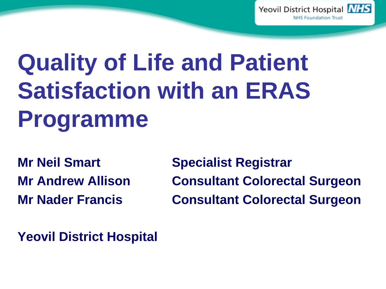

# **Quality of Life and Patient Satisfaction with an ERAS Programme**

**Mr Neil Smart Specialist Registrar Mr Andrew Allison Consultant Colorectal Surgeon Mr Nader Francis Consultant Colorectal Surgeon**

**Yeovil District Hospital**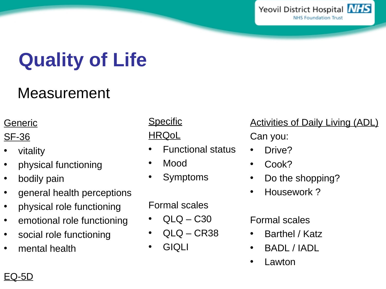

## **Quality of Life**

### Measurement

#### Generic

#### SF-36

- vitality
- physical functioning
- bodily pain
- general health perceptions
- physical role functioning
- emotional role functioning
- social role functioning
- mental health

### **Specific**

#### **HRQoL**

- Functional status
- Mood
- **Symptoms**

#### Formal scales

- $QLQ C30$
- $QLQ CR38$
- GIQLI

#### Activities of Daily Living (ADL)

Can you:

- Drive?
- Cook?
- Do the shopping?
- Housework ?

#### Formal scales

- Barthel / Katz
- BADL / IADL
- **Lawton**

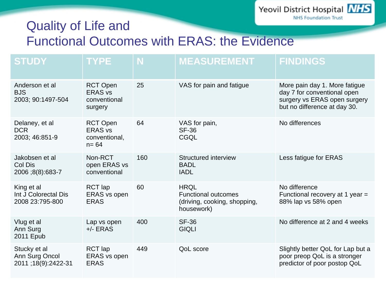#### **NHS Foundation Trust** Quality of Life and Functional Outcomes with ERAS: the Evidence

| <b>STUDY</b>                                          | <b>TYPE</b>                                                    | N   | <b>MEASUREMENT</b>                                                                      | <b>FINDINGS</b>                                                                                                              |
|-------------------------------------------------------|----------------------------------------------------------------|-----|-----------------------------------------------------------------------------------------|------------------------------------------------------------------------------------------------------------------------------|
| Anderson et al<br><b>BJS</b><br>2003; 90:1497-504     | <b>RCT Open</b><br><b>ERAS vs</b><br>conventional<br>surgery   | 25  | VAS for pain and fatigue                                                                | More pain day 1. More fatigue<br>day 7 for conventional open<br>surgery vs ERAS open surgery<br>but no difference at day 30. |
| Delaney, et al<br><b>DCR</b><br>2003; 46:851-9        | <b>RCT Open</b><br><b>ERAS vs</b><br>conventional,<br>$n = 64$ | 64  | VAS for pain,<br><b>SF-36</b><br>CGQL                                                   | No differences                                                                                                               |
| Jakobsen et al<br>Col Dis<br>2006;8(8):683-7          | Non-RCT<br>open ERAS vs<br>conventional                        | 160 | Structured interview<br><b>BADL</b><br><b>IADL</b>                                      | Less fatigue for ERAS                                                                                                        |
| King et al<br>Int J Colorectal Dis<br>2008 23:795-800 | RCT lap<br><b>ERAS</b> vs open<br><b>ERAS</b>                  | 60  | <b>HROL</b><br><b>Functional outcomes</b><br>(driving, cooking, shopping,<br>housework) | No difference<br>Functional recovery at $1$ year =<br>88% lap vs 58% open                                                    |
| Vlug et al<br>Ann Surg<br>2011 Epub                   | Lap vs open<br>$+/-$ ERAS                                      | 400 | <b>SF-36</b><br><b>GIQLI</b>                                                            | No difference at 2 and 4 weeks                                                                                               |
| Stucky et al<br>Ann Surg Oncol<br>2011;18(9):2422-31  | <b>RCT</b> lap<br>ERAS vs open<br><b>ERAS</b>                  | 449 | <b>QoL</b> score                                                                        | Slightly better QoL for Lap but a<br>poor preop QoL is a stronger<br>predictor of poor postop QoL                            |

Yeovil District Hospital **NHS**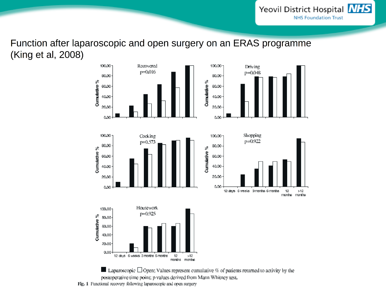Yeovil District Hospital NHS **NHS Foundation Trust** 

Function after laparoscopic and open surgery on an ERAS programme (King et al, 2008)



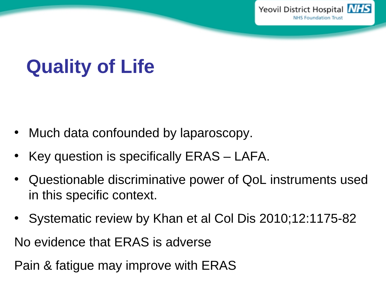

## **Quality of Life**

- Much data confounded by laparoscopy.
- Key question is specifically ERAS LAFA.
- Questionable discriminative power of QoL instruments used in this specific context.
- Systematic review by Khan et al Col Dis 2010;12:1175-82

No evidence that ERAS is adverse

Pain & fatigue may improve with ERAS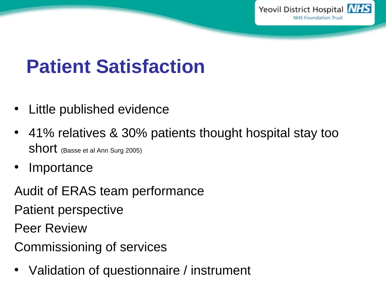

### **Patient Satisfaction**

- Little published evidence
- 41% relatives & 30% patients thought hospital stay too Short (Basse et al Ann Surg 2005)
- **Importance**

Audit of ERAS team performance Patient perspective

Peer Review

Commissioning of services

• Validation of questionnaire / instrument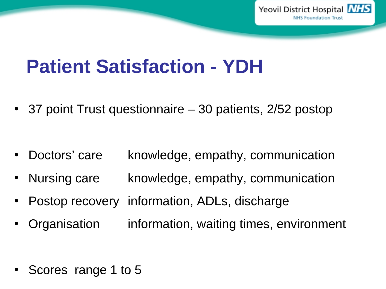

### **Patient Satisfaction - YDH**

• 37 point Trust questionnaire – 30 patients, 2/52 postop

- Doctors' care knowledge, empathy, communication
- Nursing care knowledge, empathy, communication
- Postop recovery information, ADLs, discharge
- Organisation information, waiting times, environment

• Scores range 1 to 5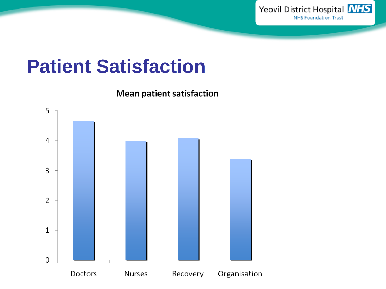

### **Patient Satisfaction**

**Mean patient satisfaction** 

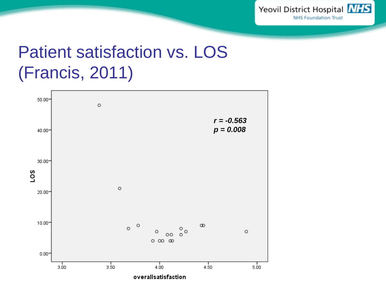

### Patient satisfaction vs. LOS (Francis, 2011)